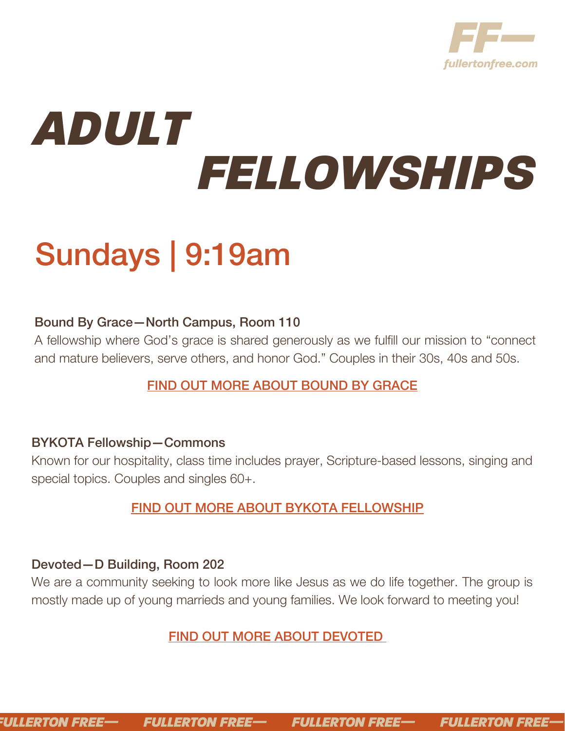

# *ADULT FELLOWSHIPS*

# Sundays | 9:19am

# Bound By Grace—North Campus, Room 110

A fellowship where God's grace is shared generously as we fulfill our mission to "connect and mature believers, serve others, and honor God." Couples in their 30s, 40s and 50s.

# FIND OUT MORE [ABOUT](https://evfreefullerton.ccbchurch.com/goto/forms/1123/responses/new) BOUND BY [GRACE](https://evfreefullerton.ccbchurch.com/goto/forms/1123/responses/new)

#### BYKOTA Fellowship—Commons

Known for our hospitality, class time includes prayer, Scripture-based lessons, singing and special topics. Couples and singles 60+.

# FIND OUT MORE [ABOUT](https://evfreefullerton.ccbchurch.com/goto/forms/1124/responses/new) BYKOTA [FELLOWSHIP](https://evfreefullerton.ccbchurch.com/goto/forms/1124/responses/new)

#### Devoted—D Building, Room 202

We are a community seeking to look more like Jesus as we do life together. The group is mostly made up of young marrieds and young families. We look forward to meeting you!

# FIND OUT MORE [ABOUT](https://evfreefullerton.ccbchurch.com/goto/forms/1125/responses/new) [DEVOTED](https://evfreefullerton.ccbchurch.com/goto/forms/1125/responses/new)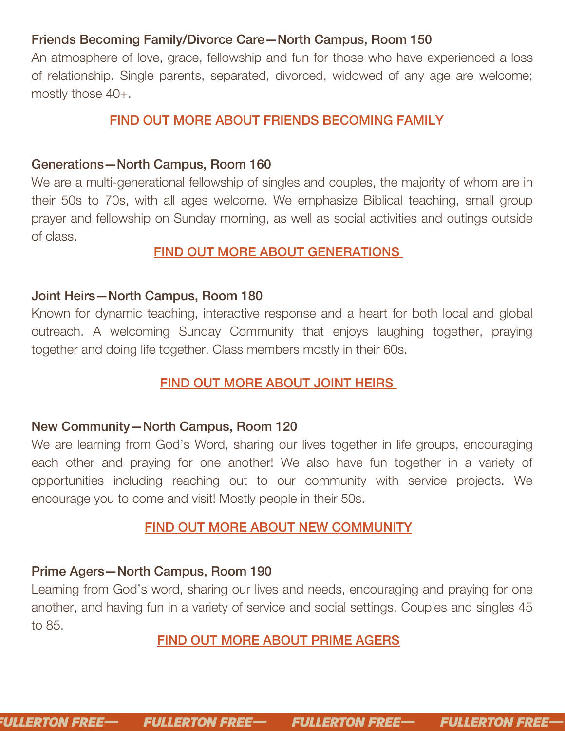#### Friends Becoming Family/Divorce Care—North Campus, Room 150

An atmosphere of love, grace, fellowship and fun for those who have experienced a loss of relationship. Single parents, separated, divorced, widowed of any age are welcome; mostly those 40+.

#### FIND OUT MORE [ABOUT](https://evfreefullerton.ccbchurch.com/goto/forms/1127/responses/new) FRIENDS [BECOMING](https://evfreefullerton.ccbchurch.com/goto/forms/1127/responses/new) FAMIL[Y](https://evfreefullerton.ccbchurch.com/goto/forms/1127/responses/new)

#### Generations—North Campus, Room 160

We are a multi-generational fellowship of singles and couples, the majority of whom are in their 50s to 70s, with all ages welcome. We emphasize Biblical teaching, small group prayer and fellowship on Sunday morning, as well as social activities and outings outside of class.

#### FIND OUT MORE [ABOUT](https://evfreefullerton.ccbchurch.com/goto/forms/1128/responses/new) [GENERATIONS](https://evfreefullerton.ccbchurch.com/goto/forms/1128/responses/new)

#### Joint Heirs—North Campus, Room 180

Known for dynamic teaching, interactive response and a heart for both local and global outreach. A welcoming Sunday Community that enjoys laughing together, praying together and doing life together. Class members mostly in their 60s.

#### FIND OUT MORE [ABOUT](https://evfreefullerton.ccbchurch.com/goto/forms/1129/responses/new) JOINT HEI[RS](https://evfreefullerton.ccbchurch.com/goto/forms/1129/responses/new)

#### New Community—North Campus, Room 120

We are learning from God's Word, sharing our lives together in life groups, encouraging each other and praying for one another! We also have fun together in a variety of opportunities including reaching out to our community with service projects. We encourage you to come and visit! Mostly people in their 50s.

#### FIND OUT MORE ABOUT NEW [COMMUNITY](https://evfreefullerton.ccbchurch.com/goto/forms/1130/responses/new)

#### Prime Agers—North Campus, Room 190

Learning from God's word, sharing our lives and needs, encouraging and praying for one another, and having fun in a variety of service and social settings. Couples and singles 45 to 85.

#### FIND OUT MORE [ABOUT](https://evfreefullerton.ccbchurch.com/goto/forms/1131/responses/new) PRIME AGERS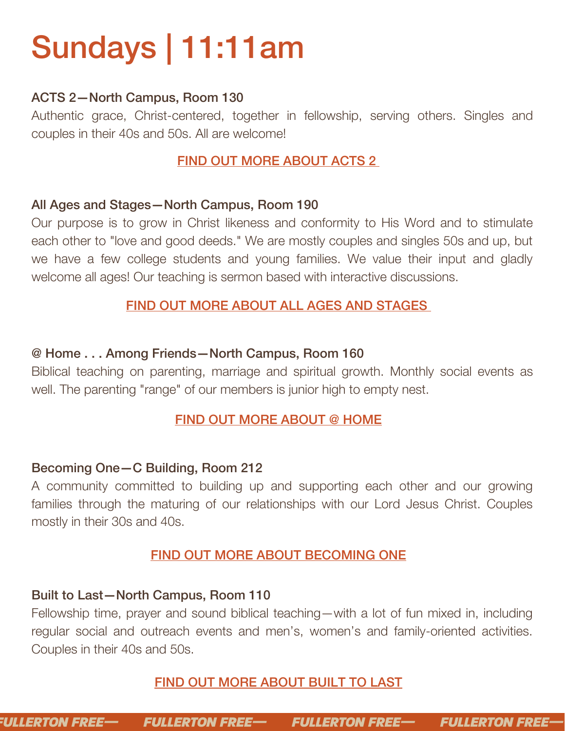# Sundays | 11:11am

#### ACTS 2—North Campus, Room 130

Authentic grace, Christ-centered, together in fellowship, serving others. Singles and couples in their 40s and 50s. All are welcome!

# FIND OUT MORE [ABOUT](https://evfreefullerton.ccbchurch.com/goto/forms/1135/responses/new) ACTS 2

#### All Ages and Stages—North Campus, Room 190

Our purpose is to grow in Christ likeness and conformity to His Word and to stimulate each other to "love and good deeds." We are mostly couples and singles 50s and up, but we have a few college students and young families. We value their input and gladly welcome all ages! Our teaching is sermon based with interactive discussions.

### FIND OUT MORE [ABOUT](https://evfreefullerton.ccbchurch.com/goto/forms/1122/responses/new) ALL AGES AND STAG[ES](https://evfreefullerton.ccbchurch.com/goto/forms/1122/responses/new)

#### @ Home . . . Among Friends—North Campus, Room 160

Biblical teaching on parenting, marriage and spiritual growth. Monthly social events as well. The parenting "range" of our members is junior high to empty nest.

#### FIND OUT MORE [ABOUT](https://evfreefullerton.ccbchurch.com/goto/forms/1137/responses/new) @ HOME

#### Becoming One—C Building, Room 212

A community committed to building up and supporting each other and our growing families through the maturing of our relationships with our Lord Jesus Christ. Couples mostly in their 30s and 40s.

# FIND OUT MORE ABOUT [BECOMING](https://evfreefullerton.ccbchurch.com/goto/forms/1138/responses/new) ONE

#### Built to Last—North Campus, Room 110

Fellowship time, prayer and sound biblical teaching—with a lot of fun mixed in, including regular social and outreach events and men's, women's and family-oriented activities. Couples in their 40s and 50s.

# FIND OUT MORE [ABOUT](https://evfreefullerton.ccbchurch.com/goto/forms/1139/responses/new) BUILT TO LAS[T](https://evfreefullerton.ccbchurch.com/goto/forms/1139/responses/new)

**FULLERTON FREE— FULLERTON FREE-FULLERTON FREE-FULLERTON FREE-**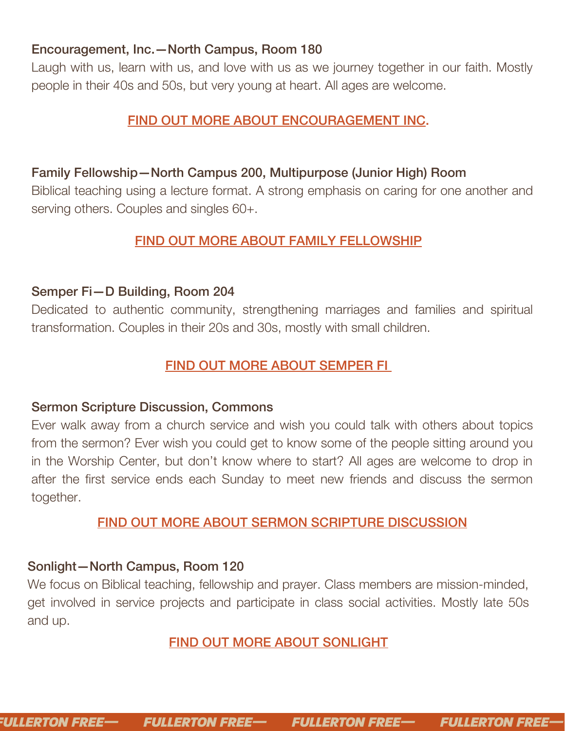#### Encouragement, Inc.—North Campus, Room 180

Laugh with us, learn with us, and love with us as we journey together in our faith. Mostly people in their 40s and 50s, but very young at heart. All ages are welcome.

### FIND OUT MORE ABOUT [ENCOURAGEMENT](https://evfreefullerton.ccbchurch.com/goto/forms/1140/responses/new) INC.

### Family Fellowship—North Campus 200, Multipurpose (Junior High) Room

Biblical teaching using a lecture format. A strong emphasis on caring for one another and serving others. Couples and singles 60+.

#### FIND OUT MORE ABOUT FAMILY [FELLOWSHIP](https://evfreefullerton.ccbchurch.com/goto/forms/1126/responses/new)

#### Semper Fi—D Building, Room 204

Dedicated to authentic community, strengthening marriages and families and spiritual transformation. Couples in their 20s and 30s, mostly with small children.

#### FIND OUT [MORE](https://evfreefullerton.ccbchurch.com/goto/forms/1132/responses/new) ABOUT [SEMPER](https://evfreefullerton.ccbchurch.com/goto/forms/1132/responses/new) FI

#### Sermon Scripture Discussion, Commons

Ever walk away from a church service and wish you could talk with others about topics from the sermon? Ever wish you could get to know some of the people sitting around you in the Worship Center, but don't know where to start? All ages are welcome to drop in after the first service ends each Sunday to meet new friends and discuss the sermon together.

#### FIND OUT MORE [ABOUT](https://evfreefullerton.ccbchurch.com/goto/forms/1541/responses/new) SERMON SCRIPTURE [DISCUSSION](https://evfreefullerton.ccbchurch.com/goto/forms/1541/responses/new)

#### Sonlight—North Campus, Room 120

We focus on Biblical teaching, fellowship and prayer. Class members are mission-minded, get involved in service projects and participate in class social activities. Mostly late 50s and up.

#### FIND OUT MORE ABOUT [SONLIGHT](https://evfreefullerton.ccbchurch.com/goto/forms/1133/responses/new)